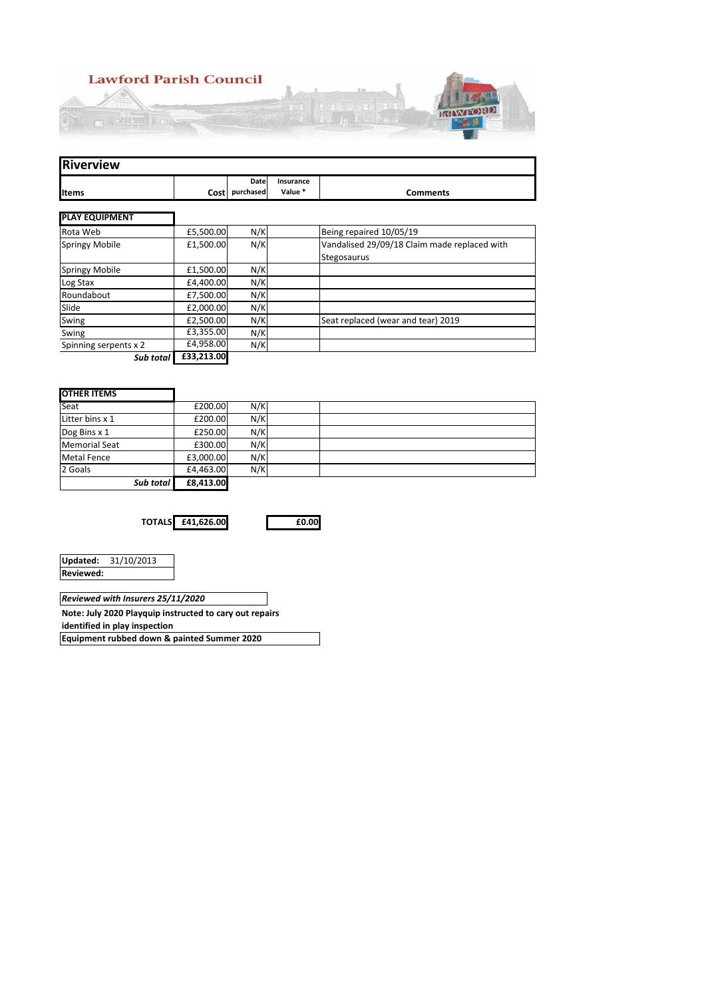

| <b>Riverview</b>      |            |                        |                      |                                              |
|-----------------------|------------|------------------------|----------------------|----------------------------------------------|
| <b>Items</b>          |            | Date<br>Cost purchased | Insurance<br>Value * | <b>Comments</b>                              |
|                       |            |                        |                      |                                              |
| <b>PLAY EQUIPMENT</b> |            |                        |                      |                                              |
| Rota Web              | £5,500.00  | N/K                    |                      | Being repaired 10/05/19                      |
| <b>Springy Mobile</b> | £1,500.00  | N/K                    |                      | Vandalised 29/09/18 Claim made replaced with |
|                       |            |                        |                      | Stegosaurus                                  |
| <b>Springy Mobile</b> | £1,500.00  | N/K                    |                      |                                              |
| Log Stax              | £4,400.00  | N/K                    |                      |                                              |
| Roundabout            | £7,500.00  | N/K                    |                      |                                              |
| Slide                 | £2,000.00  | N/K                    |                      |                                              |
| Swing                 | £2,500.00  | N/K                    |                      | Seat replaced (wear and tear) 2019           |
| Swing                 | £3,355.00  | N/K                    |                      |                                              |
| Spinning serpents x 2 | £4,958.00  | N/K                    |                      |                                              |
| Sub total             | £33,213.00 |                        |                      |                                              |
|                       |            |                        |                      |                                              |
|                       |            |                        |                      |                                              |
| <b>OTHER ITEMS</b>    |            |                        |                      |                                              |
| Seat                  | £200.00    | N/K                    |                      |                                              |
| Litter bins x 1       | £200.00    | N/K                    |                      |                                              |
| Dog Bins x 1          | £250.00    | N/K                    |                      |                                              |
| <b>Memorial Seat</b>  | £300.00    | N/K                    |                      |                                              |
| <b>Metal Fence</b>    | £3,000.00  | N/K                    |                      |                                              |
| 2 Goals               | £4,463.00  | N/K                    |                      |                                              |
| Sub total             | £8,413.00  |                        |                      |                                              |

**TOTALS £41,626.00 £0.00**

|                  | Updated: 31/10/2013 |
|------------------|---------------------|
| <b>Reviewed:</b> |                     |
|                  |                     |

*Reviewed with Insurers 25/11/2020*

**Note: July 2020 Playquip instructed to cary out repairs** 

**identified in play inspection**

**Equipment rubbed down & painted Summer 2020**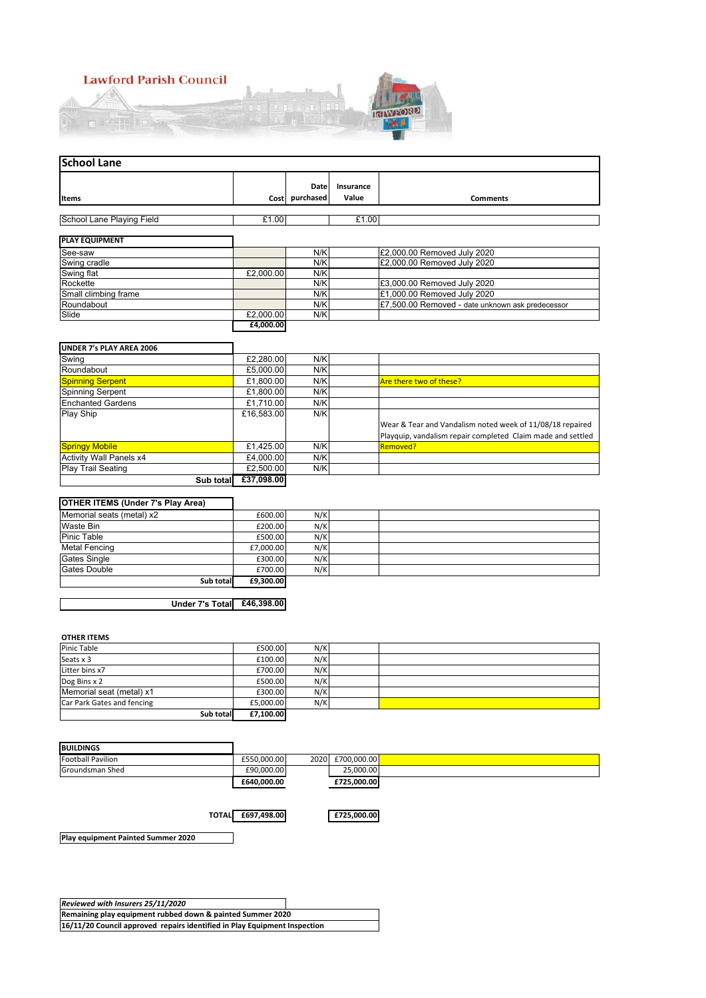

| <b>School Lane</b>        |           |                   |                    |                                                  |  |  |  |
|---------------------------|-----------|-------------------|--------------------|--------------------------------------------------|--|--|--|
| <b>Items</b>              | Cost      | Date<br>purchased | Insurance<br>Value | <b>Comments</b>                                  |  |  |  |
| School Lane Playing Field | £1.00     |                   | £1.00              |                                                  |  |  |  |
| <b>PLAY EQUIPMENT</b>     |           |                   |                    |                                                  |  |  |  |
| See-saw                   |           | N/K               |                    | £2,000.00 Removed July 2020                      |  |  |  |
| Swing cradle              |           | N/K               |                    | £2,000.00 Removed July 2020                      |  |  |  |
| Swing flat                | £2,000.00 | N/K               |                    |                                                  |  |  |  |
| Rockette                  |           | N/K               |                    | £3,000.00 Removed July 2020                      |  |  |  |
| Small climbing frame      |           | N/K               |                    | £1,000.00 Removed July 2020                      |  |  |  |
| Roundabout                |           | N/K               |                    | £7,500.00 Removed - date unknown ask predecessor |  |  |  |
| Slide                     | £2,000.00 | N/K               |                    |                                                  |  |  |  |
|                           | £4,000.00 |                   |                    |                                                  |  |  |  |

#### **UNDER 7's PLAY AREA 2006**

| Swing                          | £2,280.00  | N/K |                                                             |
|--------------------------------|------------|-----|-------------------------------------------------------------|
| Roundabout                     | £5,000.00  | N/K |                                                             |
| <b>Spinning Serpent</b>        | £1,800.00  | N/K | <b>Are there two of these?</b>                              |
| Spinning Serpent               | £1,800.00  | N/K |                                                             |
| <b>Enchanted Gardens</b>       | £1.710.00  | N/K |                                                             |
| Play Ship                      | £16,583.00 | N/K |                                                             |
|                                |            |     | Wear & Tear and Vandalism noted week of 11/08/18 repaired   |
|                                |            |     | Playquip, vandalism repair completed Claim made and settled |
| <b>Springy Mobile</b>          | £1,425.00  | N/K | <b>Removed?</b>                                             |
| <b>Activity Wall Panels x4</b> | £4.000.00  | N/K |                                                             |
| <b>Play Trail Seating</b>      | £2,500.00  | N/K |                                                             |
| Sub total                      | £37.098.00 |     |                                                             |

## **OTHER ITEMS (Under 7's Play Area)**

| .                         |           |     |  |
|---------------------------|-----------|-----|--|
| Memorial seats (metal) x2 | £600.00   | N/K |  |
| Waste Bin                 | £200.00   | N/K |  |
| <b>Pinic Table</b>        | £500.00   | N/K |  |
| <b>Metal Fencing</b>      | £7.000.00 | N/K |  |
| <b>Gates Single</b>       | £300.00   | N/K |  |
| Gates Double              | £700.00   | N/K |  |
| Sub total                 | £9,300.00 |     |  |

## **Under 7's Total £46,398.00**

┑

٦

#### **OTHER ITEMS**

| Pinic Table                | £500.00   | N/K |  |
|----------------------------|-----------|-----|--|
| Seats x 3                  | £100.00   | N/K |  |
| Litter bins x7             | £700.00   | N/K |  |
| Dog Bins x 2               | £500.00   | N/K |  |
| Memorial seat (metal) x1   | £300.00   | N/K |  |
| Car Park Gates and fencing | £5.000.00 | N/K |  |
| Sub total                  | £7.100.00 |     |  |

| <b>BUILDINGS</b>         |             |      |             |
|--------------------------|-------------|------|-------------|
| <b>Football Pavilion</b> | £550.000.00 | 2020 | £700.000.00 |
| Groundsman Shed          | £90.000.00  |      | 25.000.00   |
|                          | £640.000.00 |      | £725,000.00 |

**TOTAL £697,498.00 £725,000.00**

**Play equipment Painted Summer 2020**

*Reviewed with Insurers 25/11/2020* **Remaining play equipment rubbed down & painted Summer 2020 16/11/20 Council approved repairs identified in Play Equipment Inspection**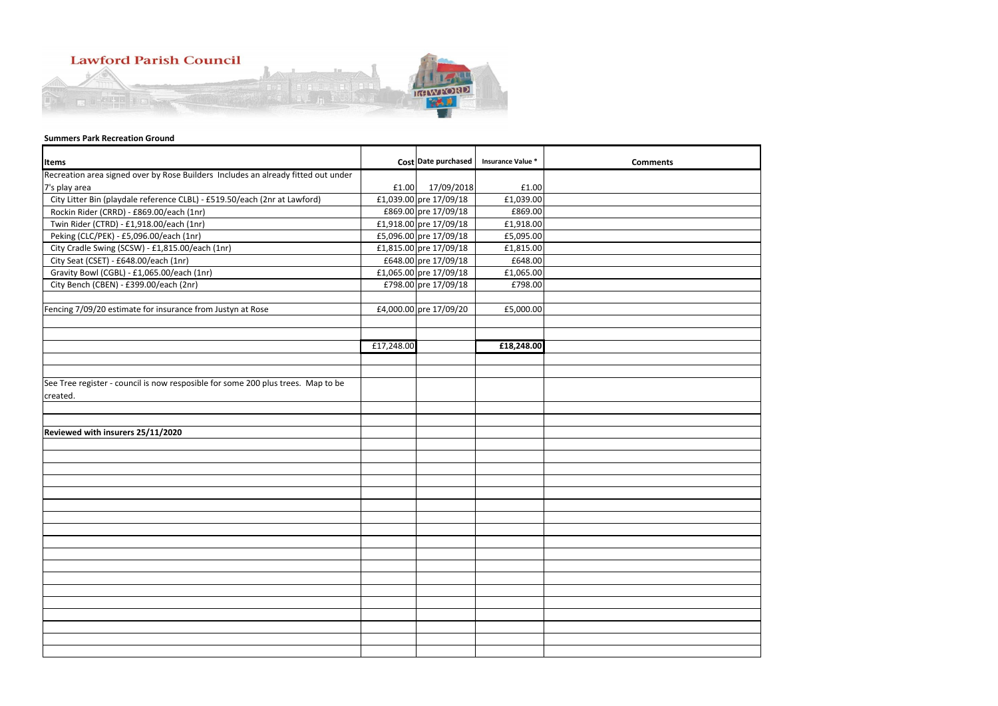| <b>Items</b>                                                                      |            | Cost Date purchased    | <b>Insurance Value *</b> | <b>Comments</b> |
|-----------------------------------------------------------------------------------|------------|------------------------|--------------------------|-----------------|
| Recreation area signed over by Rose Builders Includes an already fitted out under |            |                        |                          |                 |
| 7's play area                                                                     | £1.00      | 17/09/2018             | £1.00                    |                 |
| City Litter Bin (playdale reference CLBL) - £519.50/each (2nr at Lawford)         |            | £1,039.00 pre 17/09/18 | £1,039.00                |                 |
| Rockin Rider (CRRD) - £869.00/each (1nr)                                          |            | £869.00 pre 17/09/18   | £869.00                  |                 |
| Twin Rider (CTRD) - £1,918.00/each (1nr)                                          |            | £1,918.00 pre 17/09/18 | £1,918.00                |                 |
| Peking (CLC/PEK) - £5,096.00/each (1nr)                                           |            | £5,096.00 pre 17/09/18 | £5,095.00                |                 |
| City Cradle Swing (SCSW) - £1,815.00/each (1nr)                                   |            | £1,815.00 pre 17/09/18 | £1,815.00                |                 |
| City Seat (CSET) - £648.00/each (1nr)                                             |            | £648.00 pre 17/09/18   | £648.00                  |                 |
| Gravity Bowl (CGBL) - £1,065.00/each (1nr)                                        |            | £1,065.00 pre 17/09/18 | £1,065.00                |                 |
| City Bench (CBEN) - £399.00/each (2nr)                                            |            | £798.00 pre 17/09/18   | £798.00                  |                 |
|                                                                                   |            |                        |                          |                 |
| Fencing 7/09/20 estimate for insurance from Justyn at Rose                        |            | £4,000.00 pre 17/09/20 | £5,000.00                |                 |
|                                                                                   |            |                        |                          |                 |
|                                                                                   |            |                        |                          |                 |
|                                                                                   | £17,248.00 |                        | £18,248.00               |                 |
|                                                                                   |            |                        |                          |                 |
|                                                                                   |            |                        |                          |                 |
| See Tree register - council is now resposible for some 200 plus trees. Map to be  |            |                        |                          |                 |
| created.                                                                          |            |                        |                          |                 |
|                                                                                   |            |                        |                          |                 |
| Reviewed with insurers 25/11/2020                                                 |            |                        |                          |                 |
|                                                                                   |            |                        |                          |                 |
|                                                                                   |            |                        |                          |                 |
|                                                                                   |            |                        |                          |                 |
|                                                                                   |            |                        |                          |                 |
|                                                                                   |            |                        |                          |                 |
|                                                                                   |            |                        |                          |                 |
|                                                                                   |            |                        |                          |                 |
|                                                                                   |            |                        |                          |                 |
|                                                                                   |            |                        |                          |                 |
|                                                                                   |            |                        |                          |                 |
|                                                                                   |            |                        |                          |                 |
|                                                                                   |            |                        |                          |                 |
|                                                                                   |            |                        |                          |                 |
|                                                                                   |            |                        |                          |                 |
|                                                                                   |            |                        |                          |                 |
|                                                                                   |            |                        |                          |                 |
|                                                                                   |            |                        |                          |                 |
|                                                                                   |            |                        |                          |                 |
|                                                                                   |            |                        |                          |                 |



# **Lawford Parish Council**



# **Summers Park Recreation Ground**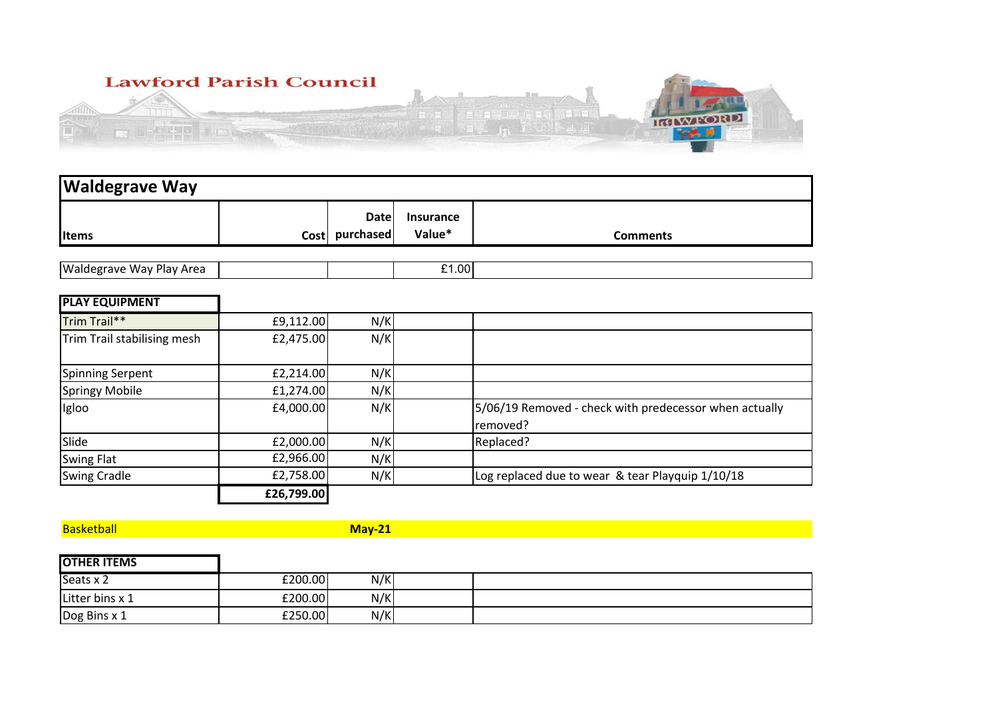

| <b>Waldegrave Way</b>           |            |                               |                            |                                                                    |
|---------------------------------|------------|-------------------------------|----------------------------|--------------------------------------------------------------------|
| <b>I</b> Items                  |            | <b>Date</b><br>Cost purchased | <b>Insurance</b><br>Value* | <b>Comments</b>                                                    |
|                                 |            |                               |                            |                                                                    |
| <b>Waldegrave Way Play Area</b> |            |                               | £1.00                      |                                                                    |
| <b>PLAY EQUIPMENT</b>           |            |                               |                            |                                                                    |
| Trim Trail**                    | £9,112.00  | N/K                           |                            |                                                                    |
| Trim Trail stabilising mesh     | £2,475.00  | N/K                           |                            |                                                                    |
| <b>Spinning Serpent</b>         | £2,214.00  | N/K                           |                            |                                                                    |
| <b>Springy Mobile</b>           | £1,274.00  | N/K                           |                            |                                                                    |
| Igloo                           | £4,000.00  | N/K                           |                            | 5/06/19 Removed - check with predecessor when actually<br>removed? |
| Slide                           | £2,000.00  | N/K                           |                            | Replaced?                                                          |
| <b>Swing Flat</b>               | £2,966.00  | N/K                           |                            |                                                                    |
| <b>Swing Cradle</b>             | £2,758.00  | N/K                           |                            | Log replaced due to wear & tear Playquip 1/10/18                   |
|                                 | £26,799.00 |                               |                            |                                                                    |

**Basketball** 

**May-21**

| <b>OTHER ITEMS</b> |         |     |  |
|--------------------|---------|-----|--|
| Seats x 2          | £200.00 | N/K |  |
| Litter bins x 1    | 5200.00 | N/K |  |
| Dog Bins x 1       | £250.00 | N/K |  |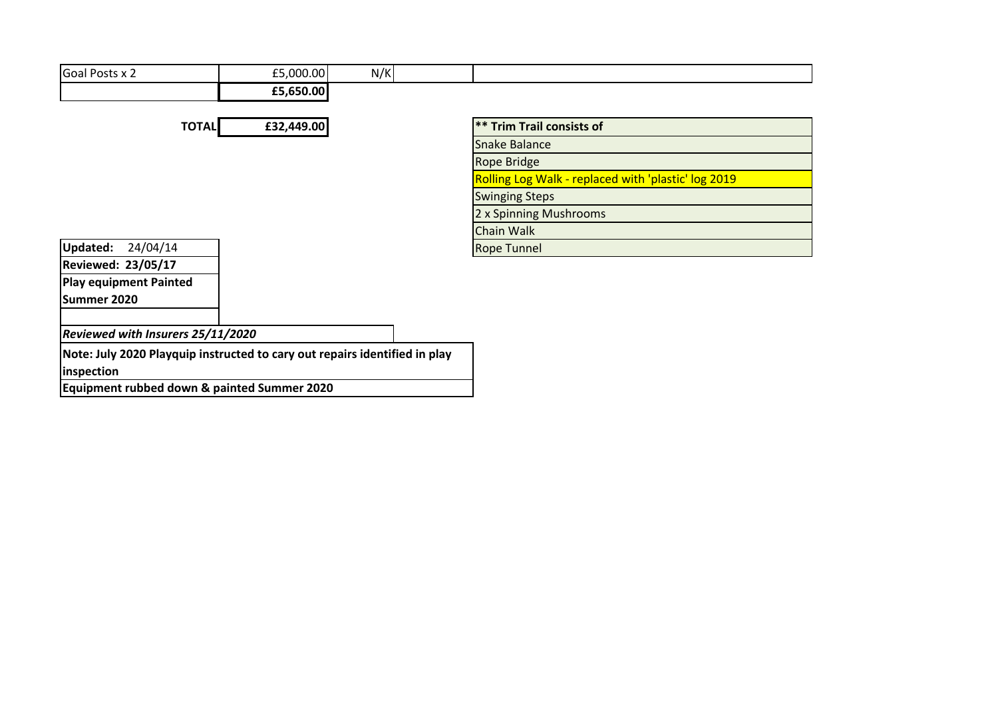| Goal Posts x 2                                                                           | £5,000.00  | N/K |                                                     |
|------------------------------------------------------------------------------------------|------------|-----|-----------------------------------------------------|
|                                                                                          | £5,650.00  |     |                                                     |
|                                                                                          |            |     |                                                     |
| <b>TOTAL</b>                                                                             | £32,449.00 |     | <b>** Trim Trail consists of</b>                    |
|                                                                                          |            |     | <b>Snake Balance</b>                                |
|                                                                                          |            |     | <b>Rope Bridge</b>                                  |
|                                                                                          |            |     | Rolling Log Walk - replaced with 'plastic' log 2019 |
|                                                                                          |            |     | <b>Swinging Steps</b>                               |
|                                                                                          |            |     | 2 x Spinning Mushrooms                              |
|                                                                                          |            |     | <b>Chain Walk</b>                                   |
| <b>Updated:</b><br>24/04/14                                                              |            |     | <b>Rope Tunnel</b>                                  |
| <b>Reviewed: 23/05/17</b>                                                                |            |     |                                                     |
| <b>Play equipment Painted</b>                                                            |            |     |                                                     |
| Summer 2020                                                                              |            |     |                                                     |
| Reviewed with Insurers 25/11/2020                                                        |            |     |                                                     |
| Note: July 2020 Playquip instructed to cary out repairs identified in play<br>inspection |            |     |                                                     |
|                                                                                          | $\cdots$   |     |                                                     |

**Equipment rubbed down & painted Summer 2020**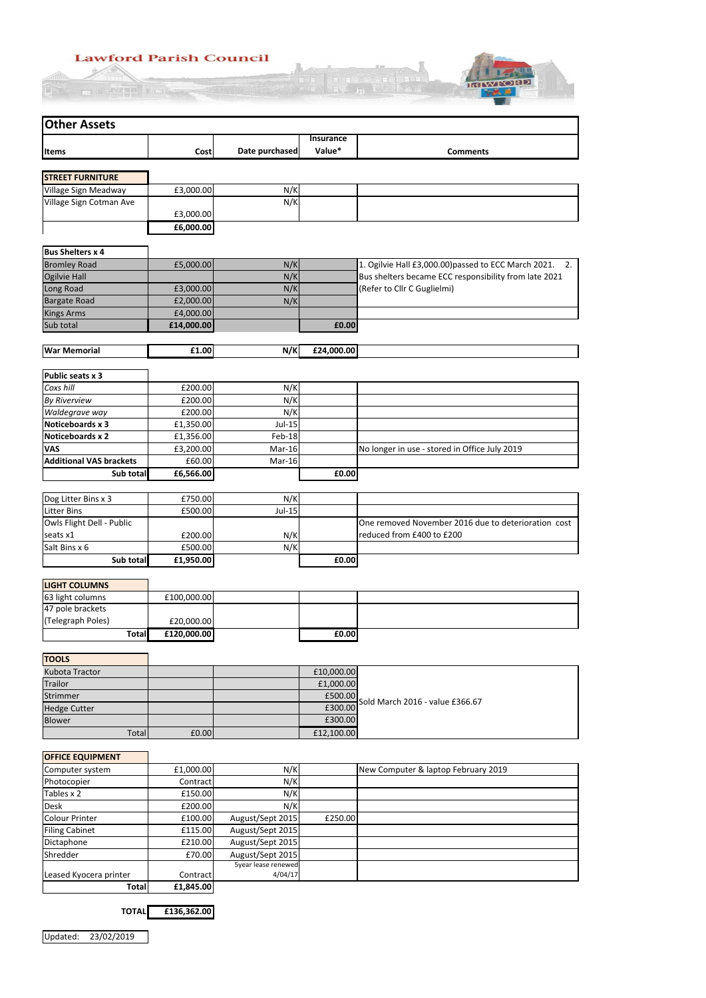# **Lawford Parish Council**  $\frac{1}{\sqrt{1-\frac{1}{\sqrt{1-\frac{1}{\sqrt{1-\frac{1}{\sqrt{1-\frac{1}{\sqrt{1-\frac{1}{\sqrt{1-\frac{1}{\sqrt{1-\frac{1}{\sqrt{1-\frac{1}{\sqrt{1-\frac{1}{\sqrt{1-\frac{1}{\sqrt{1-\frac{1}{\sqrt{1-\frac{1}{\sqrt{1-\frac{1}{\sqrt{1-\frac{1}{\sqrt{1-\frac{1}{\sqrt{1-\frac{1}{\sqrt{1-\frac{1}{\sqrt{1-\frac{1}{\sqrt{1-\frac{1}{\sqrt{1-\frac{1}{\sqrt{1-\frac{1}{\sqrt{1-\frac{1}{\sqrt{1-\frac{1}{\sqrt{1-\frac{1$

**O FUTTILION** 



| <b>Other Assets</b>            |             |                |                            |                                                         |
|--------------------------------|-------------|----------------|----------------------------|---------------------------------------------------------|
| <b>Items</b>                   | Cost        | Date purchased | <b>Insurance</b><br>Value* | <b>Comments</b>                                         |
|                                |             |                |                            |                                                         |
| <b>STREET FURNITURE</b>        |             |                |                            |                                                         |
| Village Sign Meadway           | £3,000.00   | N/K            |                            |                                                         |
| Village Sign Cotman Ave        | £3,000.00   | N/K            |                            |                                                         |
|                                | £6,000.00   |                |                            |                                                         |
| <b>Bus Shelters x 4</b>        |             |                |                            |                                                         |
| <b>Bromley Road</b>            | £5,000.00   | N/K            |                            | 1. Ogilvie Hall £3,000.00) passed to ECC March 2021. 2. |
| <b>Ogilvie Hall</b>            |             | N/K            |                            | Bus shelters became ECC responsibility from late 2021   |
| Long Road                      | £3,000.00   | N/K            |                            | (Refer to Cllr C Guglielmi)                             |
| <b>Bargate Road</b>            | £2,000.00   | N/K            |                            |                                                         |
| <b>Kings Arms</b>              | £4,000.00   |                |                            |                                                         |
| Sub total                      | £14,000.00  |                | £0.00                      |                                                         |
| <b>War Memorial</b>            | £1.00       | N/K            | £24,000.00                 |                                                         |
|                                |             |                |                            |                                                         |
| <b>Public seats x 3</b>        |             |                |                            |                                                         |
| Coxs hill                      | £200.00     | N/K            |                            |                                                         |
| <b>By Riverview</b>            | £200.00     | N/K            |                            |                                                         |
| Waldegrave way                 | £200.00     | N/K            |                            |                                                         |
| Noticeboards x 3               | £1,350.00   | Jul-15         |                            |                                                         |
| <b>Noticeboards x 2</b>        | £1,356.00   | Feb-18         |                            |                                                         |
| <b>VAS</b>                     | £3,200.00   | Mar-16         |                            | No longer in use - stored in Office July 2019           |
| <b>Additional VAS brackets</b> | £60.00      | Mar-16         |                            |                                                         |
| Sub total                      | £6,566.00   |                | £0.00                      |                                                         |
| Dog Litter Bins x 3            | £750.00     | N/K            |                            |                                                         |
| <b>Litter Bins</b>             | £500.00     | Jul-15         |                            |                                                         |
| Owls Flight Dell - Public      |             |                |                            | One removed November 2016 due to deterioration cost     |
| seats x1                       | £200.00     | N/K            |                            | reduced from £400 to £200                               |
| Salt Bins x 6                  | £500.00     | N/K            |                            |                                                         |
| Sub total                      | £1,950.00   |                | £0.00                      |                                                         |
|                                |             |                |                            |                                                         |
| <b>LIGHT COLUMNS</b>           |             |                |                            |                                                         |
| 63 light columns               | £100,000.00 |                |                            |                                                         |
| 47 pole brackets               |             |                |                            |                                                         |
| (Telegraph Poles)              | £20,000.00  |                |                            |                                                         |
| <b>Total</b>                   | £120,000.00 |                | £0.00                      |                                                         |
| <b>TOOLS</b>                   |             |                |                            |                                                         |
| Kubota Tractor                 |             |                | £10,000.00                 |                                                         |
| Trailor                        |             |                | £1,000.00                  |                                                         |
| Strimmer                       |             |                | £500.00                    |                                                         |
| <b>Hedge Cutter</b>            |             |                | £300.00                    | Sold March 2016 - value £366.67                         |

| <b>OFFICE EQUIPMENT</b> |                 |                     |         |                                     |
|-------------------------|-----------------|---------------------|---------|-------------------------------------|
| Computer system         | £1,000.00       | N/K                 |         | New Computer & laptop February 2019 |
| Photocopier             | <b>Contract</b> | N/K                 |         |                                     |
| Tables x 2              | £150.00         | N/K                 |         |                                     |
| <b>Desk</b>             | £200.00         | N/K                 |         |                                     |
| Colour Printer          | £100.00         | August/Sept 2015    | £250.00 |                                     |
| <b>Filing Cabinet</b>   | £115.00         | August/Sept 2015    |         |                                     |
| Dictaphone              | £210.00         | August/Sept 2015    |         |                                     |
| Shredder                | £70.00          | August/Sept 2015    |         |                                     |
|                         |                 | Syear lease renewed |         |                                     |
| Leased Kyocera printer  | Contract        | 4/04/17             |         |                                     |
| Totall                  | £1,845.00       |                     |         |                                     |

**TOTAL £136,362.00**

External Extending of the Contract of the Contract of the Contract of the Contract of the Contract of the Contract of the Contract of the Contract of the Contract of the Contract of the Contract of the Contract of the Cont

Total  $f(0.00)$   $f(12,100.00)$ 

Updated: 23/02/2019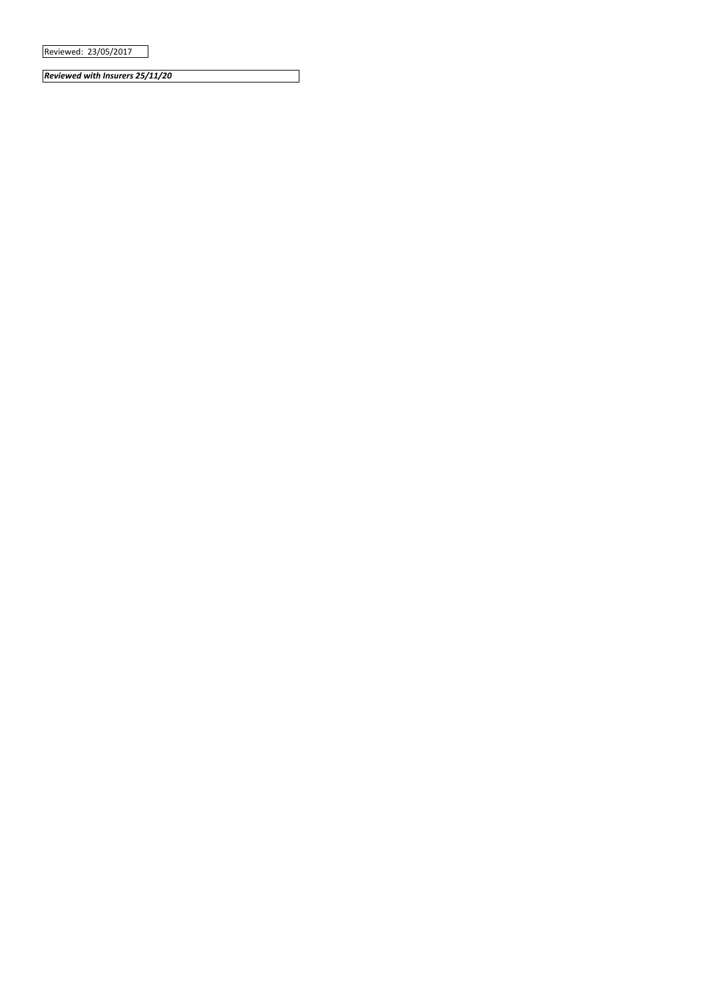Reviewed: 23/05/2017

*Reviewed with Insurers 25/11/20*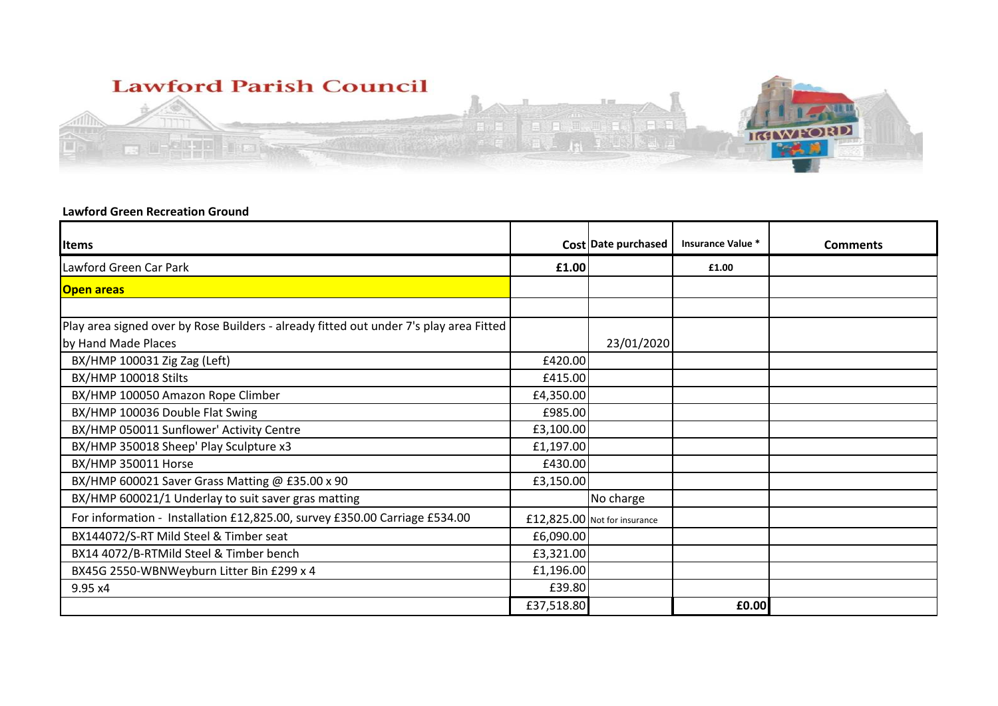

## **Lawford Green Recreation Ground**

| <b>Items</b>                                                                           |            | Cost Date purchased          | Insurance Value * | <b>Comments</b> |
|----------------------------------------------------------------------------------------|------------|------------------------------|-------------------|-----------------|
| Lawford Green Car Park                                                                 | £1.00      |                              | £1.00             |                 |
| <b>Open areas</b>                                                                      |            |                              |                   |                 |
|                                                                                        |            |                              |                   |                 |
| Play area signed over by Rose Builders - already fitted out under 7's play area Fitted |            |                              |                   |                 |
| by Hand Made Places                                                                    |            | 23/01/2020                   |                   |                 |
| BX/HMP 100031 Zig Zag (Left)                                                           | £420.00    |                              |                   |                 |
| BX/HMP 100018 Stilts                                                                   | £415.00    |                              |                   |                 |
| BX/HMP 100050 Amazon Rope Climber                                                      | £4,350.00  |                              |                   |                 |
| BX/HMP 100036 Double Flat Swing                                                        | £985.00    |                              |                   |                 |
| BX/HMP 050011 Sunflower' Activity Centre                                               | £3,100.00  |                              |                   |                 |
| BX/HMP 350018 Sheep' Play Sculpture x3                                                 | £1,197.00  |                              |                   |                 |
| BX/HMP 350011 Horse                                                                    | £430.00    |                              |                   |                 |
| BX/HMP 600021 Saver Grass Matting @ £35.00 x 90                                        | £3,150.00  |                              |                   |                 |
| BX/HMP 600021/1 Underlay to suit saver gras matting                                    |            | No charge                    |                   |                 |
| For information - Installation £12,825.00, survey £350.00 Carriage £534.00             |            | £12,825.00 Not for insurance |                   |                 |
| BX144072/S-RT Mild Steel & Timber seat                                                 | £6,090.00  |                              |                   |                 |
| BX14 4072/B-RTMild Steel & Timber bench                                                | £3,321.00  |                              |                   |                 |
| BX45G 2550-WBNWeyburn Litter Bin £299 x 4                                              | £1,196.00  |                              |                   |                 |
| 9.95 x4                                                                                | £39.80     |                              |                   |                 |
|                                                                                        | £37,518.80 |                              | £0.00             |                 |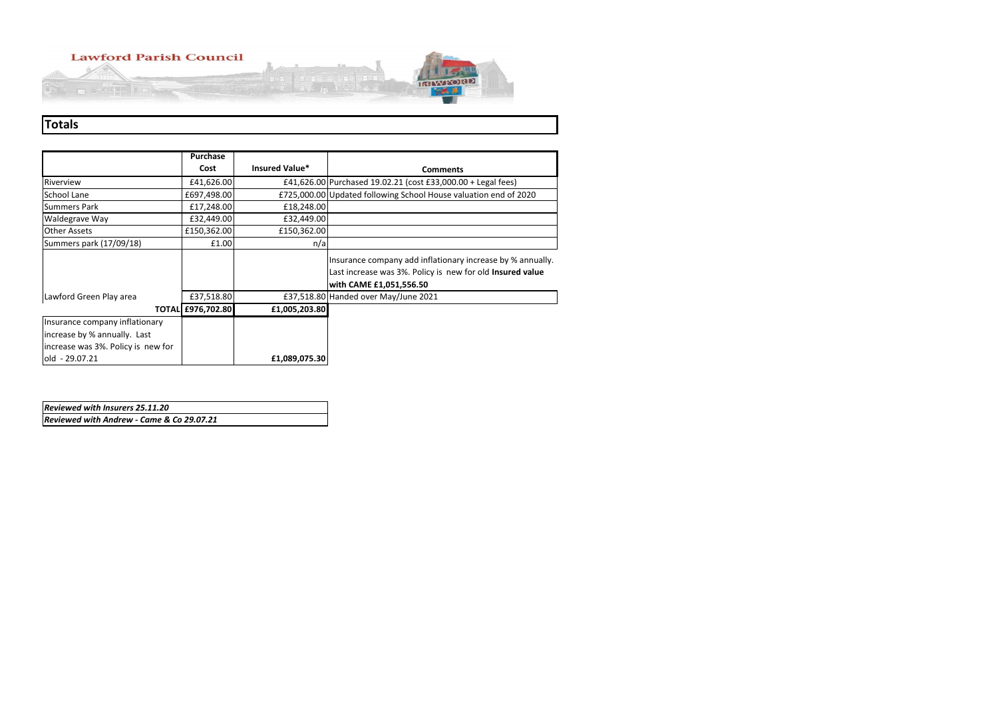# **Lawford Parish Council**

**THE REPORT OF PROPERTY** 



|                                    | Purchase                 |                |                                                                                                                                                    |
|------------------------------------|--------------------------|----------------|----------------------------------------------------------------------------------------------------------------------------------------------------|
|                                    | Cost                     | Insured Value* | <b>Comments</b>                                                                                                                                    |
| Riverview                          | £41,626.00               |                | £41,626.00 Purchased 19.02.21 (cost £33,000.00 + Legal fees)                                                                                       |
| School Lane                        | £697,498.00              |                | £725,000.00 Updated following School House valuation end of 2020                                                                                   |
| <b>Summers Park</b>                | £17,248.00               | £18,248.00     |                                                                                                                                                    |
| Waldegrave Way                     | £32,449.00               | £32,449.00     |                                                                                                                                                    |
| <b>Other Assets</b>                | £150,362.00              | £150,362.00    |                                                                                                                                                    |
| Summers park (17/09/18)            | £1.00                    | n/a            |                                                                                                                                                    |
|                                    |                          |                | Insurance company add inflationary increase by % annually.<br>Last increase was 3%. Policy is new for old Insured value<br>with CAME £1,051,556.50 |
| Lawford Green Play area            | £37,518.80               |                | £37,518.80 Handed over May/June 2021                                                                                                               |
|                                    | <b>TOTAL £976,702.80</b> | £1,005,203.80  |                                                                                                                                                    |
| Insurance company inflationary     |                          |                |                                                                                                                                                    |
| increase by % annually. Last       |                          |                |                                                                                                                                                    |
| increase was 3%. Policy is new for |                          |                |                                                                                                                                                    |
| old - 29.07.21                     |                          | £1,089,075.30  |                                                                                                                                                    |

# **Totals**

| <b>Reviewed with Insurers 25.11.20</b>    |  |
|-------------------------------------------|--|
| Reviewed with Andrew - Came & Co 29.07.21 |  |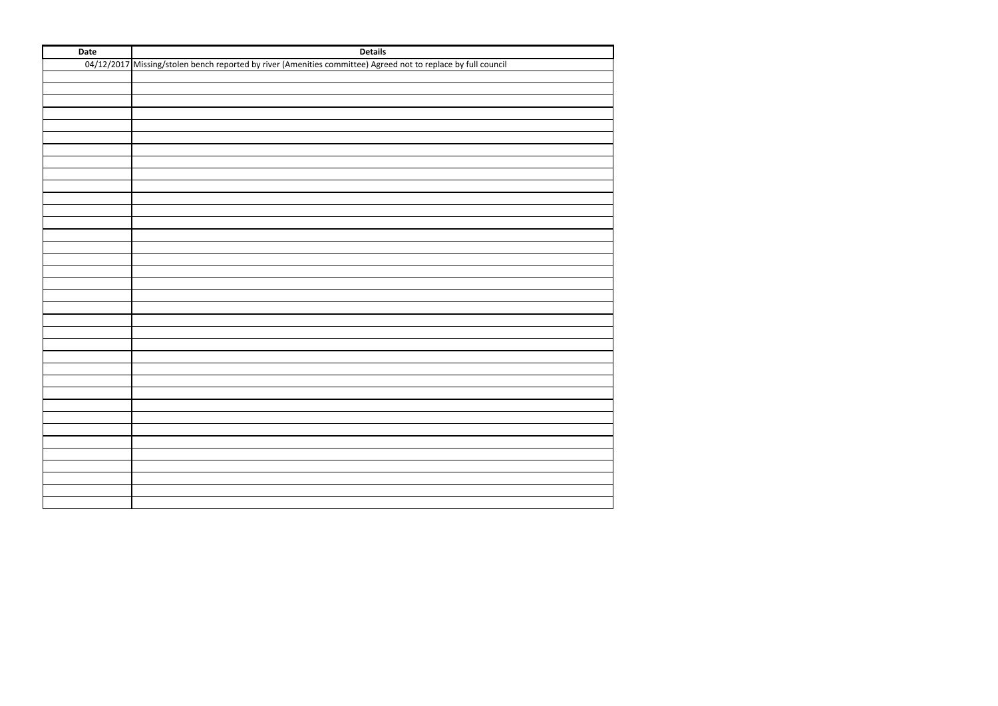| Date | <b>Details</b>                                                                                                |
|------|---------------------------------------------------------------------------------------------------------------|
|      | 04/12/2017 Missing/stolen bench reported by river (Amenities committee) Agreed not to replace by full council |
|      |                                                                                                               |
|      |                                                                                                               |
|      |                                                                                                               |
|      |                                                                                                               |
|      |                                                                                                               |
|      |                                                                                                               |
|      |                                                                                                               |
|      |                                                                                                               |
|      |                                                                                                               |
|      |                                                                                                               |
|      |                                                                                                               |
|      |                                                                                                               |
|      |                                                                                                               |
|      |                                                                                                               |
|      |                                                                                                               |
|      |                                                                                                               |
|      |                                                                                                               |
|      |                                                                                                               |
|      |                                                                                                               |
|      |                                                                                                               |
|      |                                                                                                               |
|      |                                                                                                               |
|      |                                                                                                               |
|      |                                                                                                               |
|      |                                                                                                               |
|      |                                                                                                               |
|      |                                                                                                               |
|      |                                                                                                               |
|      |                                                                                                               |
|      |                                                                                                               |
|      |                                                                                                               |
|      |                                                                                                               |
|      |                                                                                                               |
|      |                                                                                                               |
|      |                                                                                                               |
|      |                                                                                                               |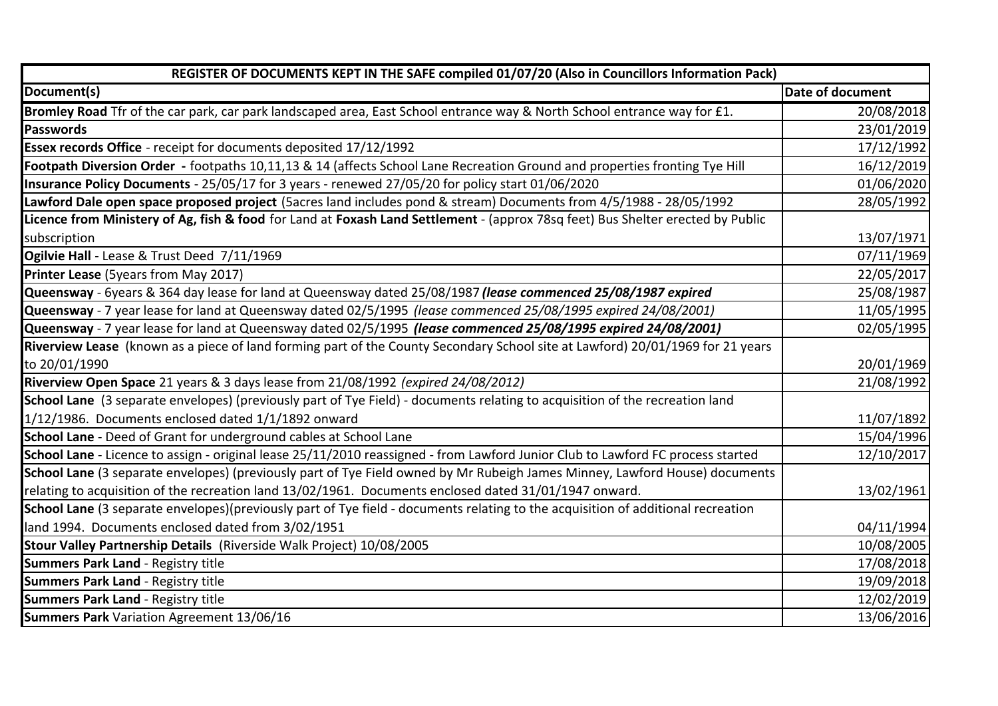| REGISTER OF DOCUMENTS KEPT IN THE SAFE compiled 01/07/20 (Also in Councillors Information Pack)                                  |                  |
|----------------------------------------------------------------------------------------------------------------------------------|------------------|
| Document(s)                                                                                                                      | Date of document |
| Bromley Road Tfr of the car park, car park landscaped area, East School entrance way & North School entrance way for £1.         | 20/08/2018       |
| Passwords                                                                                                                        | 23/01/2019       |
| Essex records Office - receipt for documents deposited 17/12/1992                                                                | 17/12/1992       |
| Footpath Diversion Order - footpaths 10,11,13 & 14 (affects School Lane Recreation Ground and properties fronting Tye Hill       | 16/12/2019       |
| Insurance Policy Documents - 25/05/17 for 3 years - renewed 27/05/20 for policy start 01/06/2020                                 | 01/06/2020       |
| Lawford Dale open space proposed project (5acres land includes pond & stream) Documents from 4/5/1988 - 28/05/1992               | 28/05/1992       |
| Licence from Ministery of Ag, fish & food for Land at Foxash Land Settlement - (approx 78sq feet) Bus Shelter erected by Public  |                  |
| subscription                                                                                                                     | 13/07/1971       |
| Ogilvie Hall - Lease & Trust Deed 7/11/1969                                                                                      | 07/11/1969       |
| Printer Lease (5years from May 2017)                                                                                             | 22/05/2017       |
| Queensway - 6years & 364 day lease for land at Queensway dated 25/08/1987 (lease commenced 25/08/1987 expired                    | 25/08/1987       |
| Queensway - 7 year lease for land at Queensway dated 02/5/1995 (lease commenced 25/08/1995 expired 24/08/2001)                   | 11/05/1995       |
| Queensway - 7 year lease for land at Queensway dated 02/5/1995 (lease commenced 25/08/1995 expired 24/08/2001)                   | 02/05/1995       |
| Riverview Lease (known as a piece of land forming part of the County Secondary School site at Lawford) 20/01/1969 for 21 years   |                  |
| to 20/01/1990                                                                                                                    | 20/01/1969       |
| Riverview Open Space 21 years & 3 days lease from 21/08/1992 (expired 24/08/2012)                                                | 21/08/1992       |
| School Lane (3 separate envelopes) (previously part of Tye Field) - documents relating to acquisition of the recreation land     |                  |
| 1/12/1986. Documents enclosed dated 1/1/1892 onward                                                                              | 11/07/1892       |
| School Lane - Deed of Grant for underground cables at School Lane                                                                | 15/04/1996       |
| School Lane - Licence to assign - original lease 25/11/2010 reassigned - from Lawford Junior Club to Lawford FC process started  | 12/10/2017       |
| School Lane (3 separate envelopes) (previously part of Tye Field owned by Mr Rubeigh James Minney, Lawford House) documents      |                  |
| relating to acquisition of the recreation land 13/02/1961. Documents enclosed dated 31/01/1947 onward.                           | 13/02/1961       |
| School Lane (3 separate envelopes)(previously part of Tye field - documents relating to the acquisition of additional recreation |                  |
| land 1994. Documents enclosed dated from 3/02/1951                                                                               | 04/11/1994       |
| Stour Valley Partnership Details (Riverside Walk Project) 10/08/2005                                                             | 10/08/2005       |
| <b>Summers Park Land - Registry title</b>                                                                                        | 17/08/2018       |
| <b>Summers Park Land - Registry title</b>                                                                                        | 19/09/2018       |
| <b>Summers Park Land - Registry title</b>                                                                                        | 12/02/2019       |
| <b>Summers Park</b> Variation Agreement 13/06/16                                                                                 | 13/06/2016       |